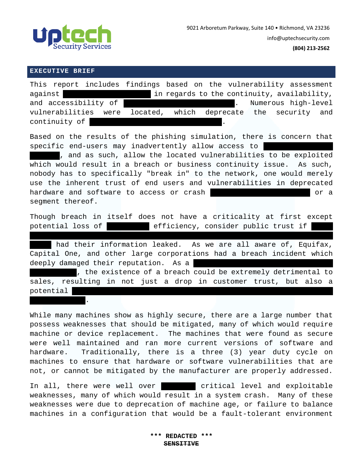

#### **EXECUTIVE BRIEF**

reduces sales.

|         |               |                      | This report includes findings based on the vulnerability assessment |                                                   |  |  |  |  |  |  |  |  |
|---------|---------------|----------------------|---------------------------------------------------------------------|---------------------------------------------------|--|--|--|--|--|--|--|--|
| against |               |                      |                                                                     | in regards to the continuity, availability,       |  |  |  |  |  |  |  |  |
|         |               | and accessibility of |                                                                     | Numerous high-level<br>and the state of the state |  |  |  |  |  |  |  |  |
|         |               |                      | vulnerabilities were located, which deprecate the security and      |                                                   |  |  |  |  |  |  |  |  |
|         | continuity of |                      |                                                                     |                                                   |  |  |  |  |  |  |  |  |

Based on the results of the phishing simulation, there is concern that specific end-users may inadvertently allow access to

, and as such, allow the located vulnerabilities to be exploited which would result in a breach or business continuity issue. As such, nobody has to specifically "break in" to the network, one would merely use the inherent trust of end users and vulnerabilities in deprecated hardware and software to access or crash the Shift or a segment thereof.

Though breach in itself does not have a criticality at first except potential loss of  $\qquad$  efficiency, consider public trust if

that signed up for newsletters or other promotions offhhhhgfgfered by

had their information leaked. As we are all aware of, Equifax, Capital One, and other large corporations had a breach incident which deeply damaged their reputation. As a

, the existence of a breach could be extremely detrimental to sales, resulting in not just a drop in customer trust, but also a potential

While many machines show as highly secure, there are a large number that possess weaknesses that should be mitigated, many of which would require machine or device replacement. The machines that were found as secure were well maintained and ran more current versions of software and hardware. Traditionally, there is a three (3) year duty cycle on machines to ensure that hardware or software vulnerabilities that are not, or cannot be mitigated by the manufacturer are properly addressed.

In all, there were well over **309999999** critical level and exploitable weaknesses, many of which would result in a system crash. Many of these weaknesses were due to deprecation of machine age, or failure to balance machines in a configuration that would be a fault-tolerant environment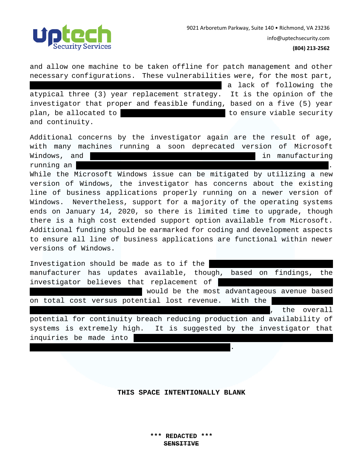

and allow one machine to be taken offline for patch management and other necessary configurations. These vulnerabilities were, for the most part, a lack of following the atypical three (3) year replacement strategy. It is the opinion of the investigator that proper and feasible funding, based on a five (5) year plan, be allocated to production and operation and operations to ensure viable security and continuity. Additional concerns by the investigator again are the result of age, with many machines running a soon deprecated version of Microsoft Windows, and  $\blacksquare$ running an | While the Microsoft Windows issue can be mitigated by utilizing a new version of Windows, the investigator has concerns about the existing line of business applications properly running on a newer version of Windows. Nevertheless, support for a majority of the operating systems ends on January 14, 2020, so there is limited time to upgrade, though there is a high cost extended support option available from Microsoft. Additional funding should be earmarked for coding and development aspects to ensure all line of business applications are functional within newer versions of Windows. Investigation should be made as to if the manufacturer has updates available, though, based on findings, the investigator believes that replacement of would be the most advantageous avenue based on total cost versus potential lost revenue. With the , the overall potential for continuity breach reducing production and availability of systems is extremely high. It is suggested by the investigator that inquiries be made into

**THIS SPACE INTENTIONALLY BLANK** 

distributions of Linux such as Debian or Redhat. The Debian or Redhat.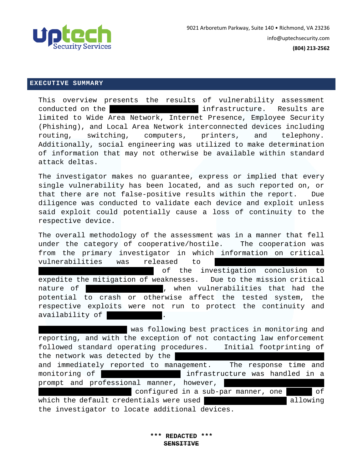

### **EXECUTIVE SUMMARY**

This overview presents the results of vulnerability assessment conducted on the  $\qquad \qquad$  infrastructure. Results are limited to Wide Area Network, Internet Presence, Employee Security (Phishing), and Local Area Network interconnected devices including routing, switching, computers, printers, and telephony. Additionally, social engineering was utilized to make determination of information that may not otherwise be available within standard attack deltas.

The investigator makes no guarantee, express or implied that every single vulnerability has been located, and as such reported on, or that there are not false-positive results within the report. Due diligence was conducted to validate each device and exploit unless said exploit could potentially cause a loss of continuity to the respective device.

The overall methodology of the assessment was in a manner that fell under the category of cooperative/hostile. The cooperation was from the primary investigator in which information on critical vulnerabilities was released to

of the investigation conclusion to expedite the mitigation of weaknesses. Due to the mission critical nature of the Sabra network, when vulnerabilities that had the potential to crash or otherwise affect the tested system, the respective exploits were not run to protect the continuity and availability of

was following best practices in monitoring and reporting, and with the exception of not contacting law enforcement followed standard operating procedures. Initial footprinting of the network was detected by the and immediately reported to management. The response time and monitoring of the Sabra infrastructure was handled in a prompt and professional manner, however, configured in a sub-par manner, one switch of which the default credentials were used in the Web interface allowing the investigator to locate additional devices.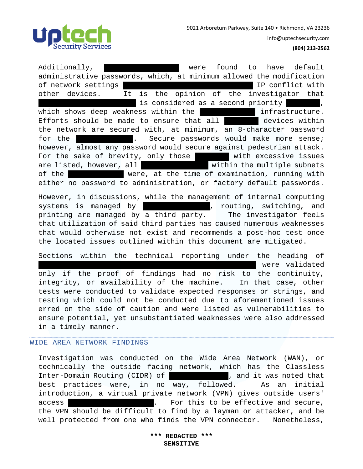

info@uptechsecurity.com

## **(804) 213‐2562**

Additionally, were found to have default administrative passwords, which, at minimum allowed the modification of network settings which could be used to conflict with  $\Gamma$ other devices. It is the opinion of the investigator that is considered as a second priority is second priority to Sabra which shows deep weakness within the sabra overall infrastructure. Efforts should be made to ensure that all  $\blacksquare$  devices within the network are secured with, at minimum, an 8-character password for the  $\blacksquare$  . Secure passwords would make more sense; however, almost any password would secure against pedestrian attack. For the sake of brevity, only those with excessive issues are listed, however, all **categories within the multiple subnets** of the Sabra network were, at the time of examination, running with either no password to administration, or factory default passwords.

However, in discussions, while the management of internal computing systems is managed by  $\begin{array}{ccc} \hline \end{array}$ , routing, switching, and printing are managed by a third party. The investigator feels that utilization of said third parties has caused numerous weaknesses that would otherwise not exist and recommends a post-hoc test once the located issues outlined within this document are mitigated.

Sections within the technical reporting under the heading of were validated only if the proof of findings had no risk to the continuity, integrity, or availability of the machine. In that case, other tests were conducted to validate expected responses or strings, and testing which could not be conducted due to aforementioned issues erred on the side of caution and were listed as vulnerabilities to ensure potential, yet unsubstantiated weaknesses were also addressed in a timely manner.

# WIDE AREA NETWORK FINDINGS

Investigation was conducted on the Wide Area Network (WAN), or technically the outside facing network, which has the Classless Inter-Domain Routing (CIDR) of  $\qquad \qquad$  , and it was noted that best practices were, in no way, followed. As an initial introduction, a virtual private network (VPN) gives outside users' access **the Sabra network.** For this to be effective and secure, the VPN should be difficult to find by a layman or attacker, and be well protected from one who finds the VPN connector. Nonetheless,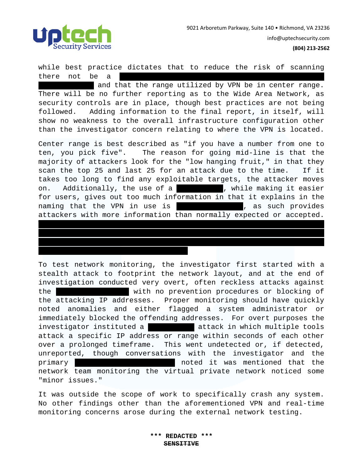

while best practice dictates that to reduce the risk of scanning there not be a

and that the range utilized by VPN be in center range. There will be no further reporting as to the Wide Area Network, as security controls are in place, though best practices are not being followed. Adding information to the final report, in itself, will show no weakness to the overall infrastructure configuration other than the investigator concern relating to where the VPN is located.

Center range is best described as "if you have a number from one to ten, you pick five". The reason for going mid-line is that the majority of attackers look for the "low hanging fruit," in that they scan the top 25 and last 25 for an attack due to the time. If it takes too long to find any exploitable targets, the attacker moves on. Additionally, the use of a reverse DNS, while making it easier for users, gives out too much information in that it explains in the naming that the VPN in use is The Manus and IPS as such provides attackers with more information than normally expected or accepted.

While the attacker was unable to access the VPN does not mean that a more recent attack would not cause issues with the VPN or systems related to the VPN. Exploitation is a specific type of attack,

while denial of service is another.

To test network monitoring, the investigator first started with a stealth attack to footprint the network layout, and at the end of investigation conducted very overt, often reckless attacks against the vith no prevention procedures or blocking of the attacking IP addresses. Proper monitoring should have quickly noted anomalies and either flagged a system administrator or immediately blocked the offending addresses. For overt purposes the investigator instituted a  $\overline{\phantom{a}}$  attack in which multiple tools attack a specific IP address or range within seconds of each other over a prolonged timeframe. This went undetected or, if detected, unreported, though conversations with the investigator and the primary sabra point of contact noted it was mentioned that the network team monitoring the virtual private network noticed some "minor issues."

It was outside the scope of work to specifically crash any system. No other findings other than the aforementioned VPN and real-time monitoring concerns arose during the external network testing.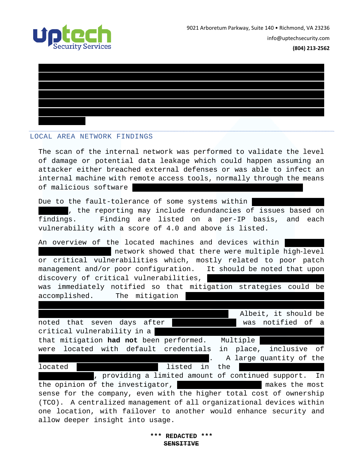



## LOCAL AREA NETWORK FINDINGS

The scan of the internal network was performed to validate the level of damage or potential data leakage which could happen assuming an attacker either breached external defenses or was able to infect an internal machine with remote access tools, normally through the means of malicious software

Due to the fault-tolerance of some systems within , the reporting may include redundancies of issues based on findings. Finding are listed on a per-IP basis, and each vulnerability with a score of 4.0 and above is listed.

An overview of the located machines and devices within network showed that there were multiple high-level or critical vulnerabilities which, mostly related to poor patch management and/or poor configuration. It should be noted that upon discovery of critical vulnerabilities, was immediately notified so that mitigation strategies could be accomplished. The mitigation investigator, however, there is no reason that the investigator would

Albeit, it should be noted that seven days after the was notified of a critical vulnerability in a that mitigation **had not** been performed. Multiple were located with default credentials in place, inclusive of A large quantity of the located switches has been listed in the  $\Gamma$ 

, providing a limited amount of continued support. In the opinion of the investigator, which we have makes the most sense for the company, even with the higher total cost of ownership (TCO). A centralized management of all organizational devices within one location, with failover to another would enhance security and allow deeper insight into usage.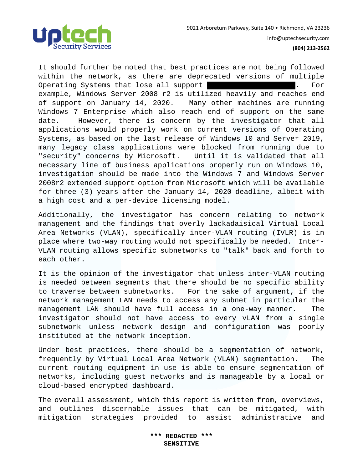

It should further be noted that best practices are not being followed within the network, as there are deprecated versions of multiple Operating Systems that lose all support with six (6) months. For example, Windows Server 2008 r2 is utilized heavily and reaches end of support on January 14, 2020. Many other machines are running Windows 7 Enterprise which also reach end of support on the same date. However, there is concern by the investigator that all applications would properly work on current versions of Operating Systems, as based on the last release of Windows 10 and Server 2019, many legacy class applications were blocked from running due to "security" concerns by Microsoft. Until it is validated that all necessary line of business applications properly run on Windows 10, investigation should be made into the Windows 7 and Windows Server 2008r2 extended support option from Microsoft which will be available for three (3) years after the January 14, 2020 deadline, albeit with a high cost and a per-device licensing model.

Additionally, the investigator has concern relating to network management and the findings that overly lackadaisical Virtual Local Area Networks (VLAN), specifically inter-VLAN routing (IVLR) is in place where two-way routing would not specifically be needed. Inter-VLAN routing allows specific subnetworks to "talk" back and forth to each other.

It is the opinion of the investigator that unless inter-VLAN routing is needed between segments that there should be no specific ability to traverse between subnetworks. For the sake of argument, if the network management LAN needs to access any subnet in particular the management LAN should have full access in a one-way manner. The investigator should not have access to every vLAN from a single subnetwork unless network design and configuration was poorly instituted at the network inception.

Under best practices, there should be a segmentation of network, frequently by Virtual Local Area Network (VLAN) segmentation. The current routing equipment in use is able to ensure segmentation of networks, including guest networks and is manageable by a local or cloud-based encrypted dashboard.

The overall assessment, which this report is written from, overviews, and outlines discernable issues that can be mitigated, with mitigation strategies provided to assist administrative and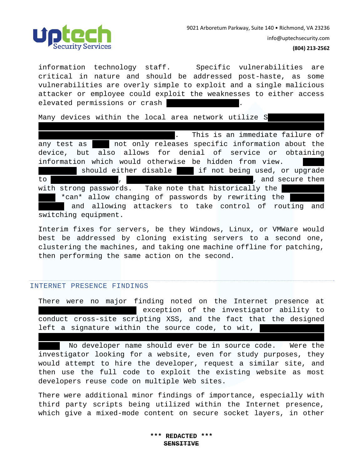

information technology staff. Specific vulnerabilities are critical in nature and should be addressed post-haste, as some vulnerabilities are overly simple to exploit and a single malicious attacker or employee could exploit the weaknesses to either access elevated permissions or crash

Management Protocol (SNMP) with the default communities, being

Many devices within the local area network utilize S

. This is an immediate failure of any test as  $\blacksquare$  not only releases specific information about the device, but also allows for denial of service or obtaining information which would otherwise be hidden from view. should either disable state if not being used, or upgrade to  $\blacksquare$ , is so so so so so so shown and secure them with strong passwords. Take note that historically the \*can\* allow changing of passwords by rewriting the and allowing attackers to take control of routing and switching equipment.

Interim fixes for servers, be they Windows, Linux, or VMWare would best be addressed by cloning existing servers to a second one, clustering the machines, and taking one machine offline for patching, then performing the same action on the second.

#### INTERNET PRESENCE FINDINGS

There were no major finding noted on the Internet presence at exception of the investigator ability to conduct cross-site scripting XSS, and the fact that the designed left a signature within the source code, to wit,

*developed by Dave Hess: https://www.linkedin.com/in/davidbrockhess/* 

No developer name should ever be in source code. Were the investigator looking for a website, even for study purposes, they would attempt to hire the developer, request a similar site, and then use the full code to exploit the existing website as most developers reuse code on multiple Web sites.

There were additional minor findings of importance, especially with third party scripts being utilized within the Internet presence, which give a mixed-mode content on secure socket layers, in other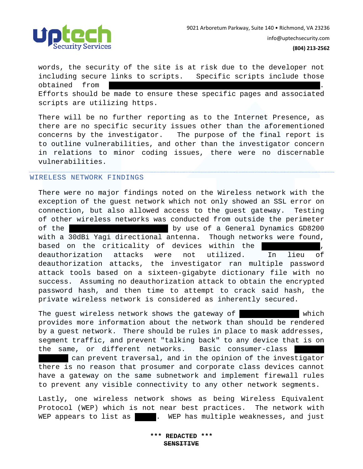

words, the security of the site is at risk due to the developer not including secure links to scripts. Specific scripts include those obtained from Efforts should be made to ensure these specific pages and associated scripts are utilizing https.

There will be no further reporting as to the Internet Presence, as there are no specific security issues other than the aforementioned concerns by the investigator. The purpose of the final report is to outline vulnerabilities, and other than the investigator concern in relations to minor coding issues, there were no discernable vulnerabilities.

## WIRELESS NETWORK FINDINGS

There were no major findings noted on the Wireless network with the exception of the guest network which not only showed an SSL error on connection, but also allowed access to the guest gateway. Testing of other wireless networks was conducted from outside the perimeter of the Sabra physical physical presence by use of a General Dynamics GD8200 with a 30dBi Yagi directional antenna. Though networks were found, based on the criticality of devices within the sabra network, deauthorization attacks were not utilized. In lieu of deauthorization attacks, the investigator ran multiple password attack tools based on a sixteen-gigabyte dictionary file with no success. Assuming no deauthorization attack to obtain the encrypted password hash, and then time to attempt to crack said hash, the private wireless network is considered as inherently secured.

The guest wireless network shows the gateway of 10.128.128.128 which provides more information about the network than should be rendered by a guest network. There should be rules in place to mask addresses, segment traffic, and prevent "talking back" to any device that is on the same, or different networks. Basic consumer-class

can prevent traversal, and in the opinion of the investigator there is no reason that prosumer and corporate class devices cannot have a gateway on the same subnetwork and implement firewall rules to prevent any visible connectivity to any other network segments.

Lastly, one wireless network shows as being Wireless Equivalent Protocol (WEP) which is not near best practices. The network with WEP appears to list as | | | . WEP has multiple weaknesses, and just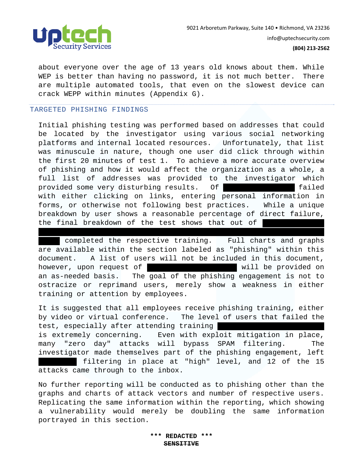

about everyone over the age of 13 years old knows about them. While WEP is better than having no password, it is not much better. There are multiple automated tools, that even on the slowest device can crack WEPP within minutes (Appendix G).

#### TARGETED PHISHING FINDINGS

Initial phishing testing was performed based on addresses that could be located by the investigator using various social networking platforms and internal located resources. Unfortunately, that list was minuscule in nature, though one user did click through within the first 20 minutes of test 1. To achieve a more accurate overview of phishing and how it would affect the organization as a whole, a full list of addresses was provided to the investigator which provided some very disturbing results. Of 534 tailed with either clicking on links, entering personal information in forms, or otherwise not following best practices. While a unique breakdown by user shows a reasonable percentage of direct failure, the final breakdown of the test shows that out of

completed the respective training. Full charts and graphs are available within the section labeled as "phishing" within this document. A list of users will not be included in this document, however, upon request of sabra representative will be provided on an as-needed basis. The goal of the phishing engagement is not to ostracize or reprimand users, merely show a weakness in either training or attention by employees.

unique clicks were received, 25 users failed immediately, and 43

It is suggested that all employees receive phishing training, either by video or virtual conference. The level of users that failed the test, especially after attending training is extremely concerning. Even with exploit mitigation in place, many "zero day" attacks will bypass SPAM filtering. The investigator made themselves part of the phishing engagement, left filtering in place at "high" level, and 12 of the 15 attacks came through to the inbox.

No further reporting will be conducted as to phishing other than the graphs and charts of attack vectors and number of respective users. Replicating the same information within the reporting, which showing a vulnerability would merely be doubling the same information portrayed in this section.